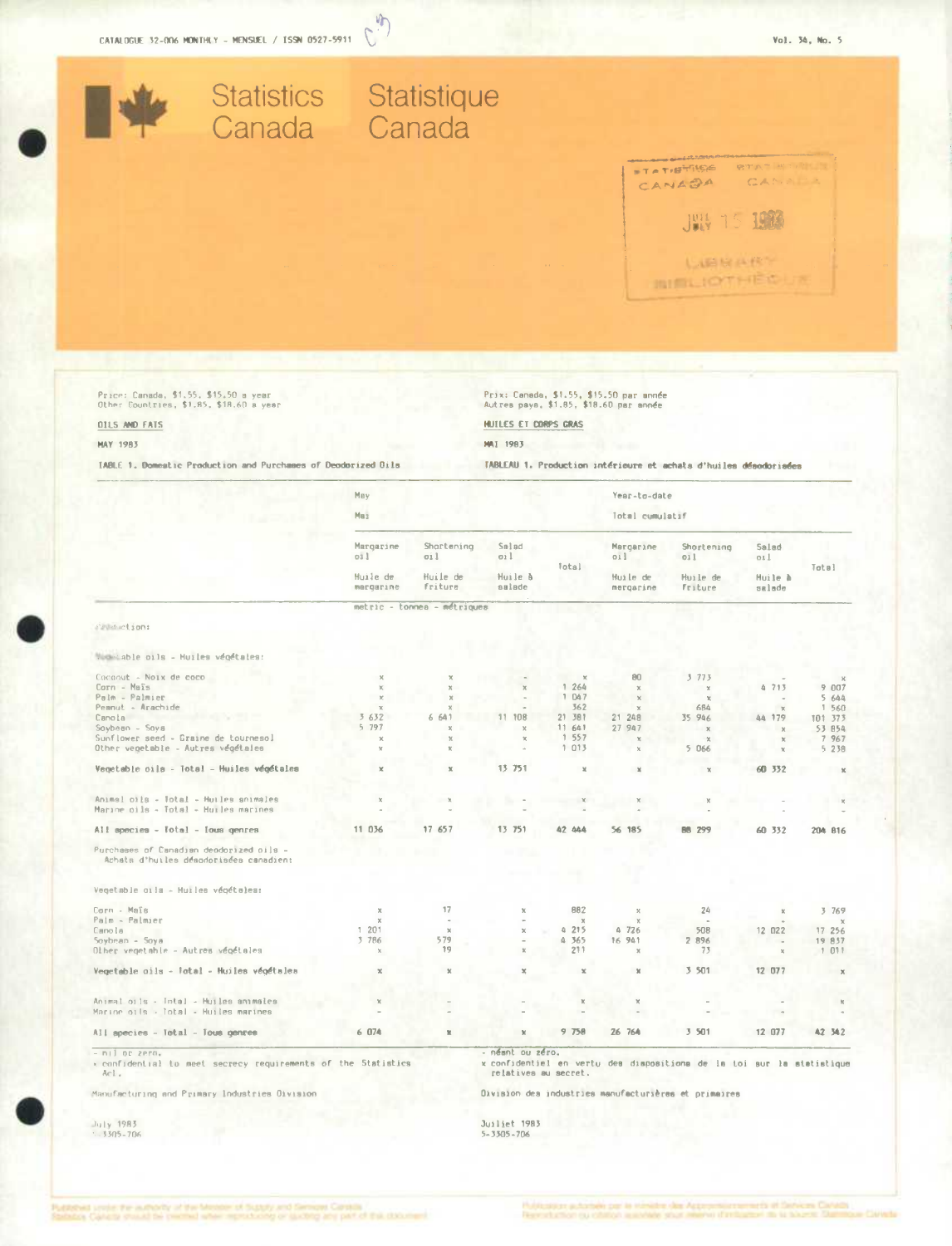

小 C

| $-$ nij or zero.<br>confidential to meet secrecy requirements of the Statistics<br>Ac1. |                          |                              | - néant ou zéro.<br>relatives au secret. |                        |                        | x confidentiel en vertu des dispositions de la toi sur la statistique |                         |                       |
|-----------------------------------------------------------------------------------------|--------------------------|------------------------------|------------------------------------------|------------------------|------------------------|-----------------------------------------------------------------------|-------------------------|-----------------------|
| All apecies - Total - Tous genres                                                       | 6.074                    | ×                            | $\mathbb{M}$                             | 9758                   | 26 76A                 | 3 501                                                                 | 12 077                  | <b>42 542</b>         |
| Animal oils - Intal - Huiles animales<br>Marine oils - lotal - Huiles marines           | $\mathbb{X}$             |                              |                                          |                        |                        |                                                                       |                         |                       |
| Vegetable oils - Total - Huiles végétales                                               | $\mathbb{R}$             | $\mathbbm{M}$                | $\mathbbmss{K}$                          | $\mathbbm{K}$          | $\mathbb{N}$           | 3 501                                                                 | 12 077                  | $\times$              |
| Soybnan - Soya<br>Olher vegetable - Autres végétales                                    | 3 786<br>$\chi$          | 579<br>19                    | X.                                       | A 365<br>211           | 16 941<br>$\mathbf{x}$ | 2 896<br>73                                                           | $\sim$                  | 19 837<br>1011        |
| Palm - Palmier<br>Canola                                                                | $\mathbf{x}$<br>1201     | $\mathbb{X}$                 | $\times$                                 | $\times$<br>4215       | $\times$<br>A 726      | 508                                                                   | 12 022                  | $\times$<br>17 25 6   |
| Vegetable oils - Huiles végételes:<br>Corn - Mais                                       | $\chi$                   | 17                           | $\mathbb{M}$                             | 882                    | x                      | 24                                                                    |                         | 3 769                 |
| Purchases of Canadian deodorized oils -<br>Achats d'huiles désodorisées canadien:       |                          |                              |                                          |                        |                        |                                                                       |                         |                       |
| All species - Total - Ious genres                                                       | 11 036                   | 17 657                       | 13 751                                   | 42 444                 | 56 185                 | 88 299                                                                | 60 332                  | 204 816               |
| Animal oils - Total - Huiles animales<br>Marine pils - Total - Huiles marines           | $\times$                 |                              |                                          |                        |                        |                                                                       |                         |                       |
| Vegetable oils - Total - Huiles végétales                                               | $\mathbf{x}$             | $\mathbbm{K}$                | 13 751                                   | $\mathbf x$            | $\mathcal{M}$          | $\mathcal{K}$                                                         | 60 332                  | $2$                   |
| Other vegetable - Autres végétales                                                      | $\chi$                   |                              | $\sim$                                   | 1013                   | $\times$               | $\mathbb{X}$<br>5066                                                  | ×.                      | 5238                  |
| $Sovben - Sova$<br>Sunflower seed - Graine de tournesol                                 | 5 797<br>$\mathbf x$     | $\mathbf x$<br>$\mathcal{R}$ | $\mathbf x$<br>$\mathcal{H}$             | 11.641<br>1 557        | 27 947<br>$\chi$       | $\times$                                                              |                         | 53 854<br>7 967       |
| Peanut - Arachide<br>Canola                                                             | $\chi$<br>3632           | ×<br>6 641                   | 11<br>108                                | 362<br>21 381          | $\times$<br>21 248     | 684<br>35 946                                                         | $\mathcal{R}$<br>44 179 | 1 560<br>101 373      |
| Corn - Maïs<br>Palm - Palmier                                                           | $\mathbf{X}$<br>$\times$ | $\chi$<br>$\mathbf{x}$       | $\chi$                                   | 1 047                  | $\chi$<br>$\times$     | $\mathbb{X}$<br>$\mathbb{R}$                                          | 4.713                   | 9 007<br>5644         |
|                                                                                         |                          | $\chi$                       |                                          | $\mathbbm{X}$<br>1 264 | 80                     | 3775                                                                  |                         | $\boldsymbol{\times}$ |

Manufacturing and Primary Industries Division

July 1983<br>1.3305-706

relatives au secret.

Division des industries manufacturières et primaires

Juiliet 1983<br>5-3305-706